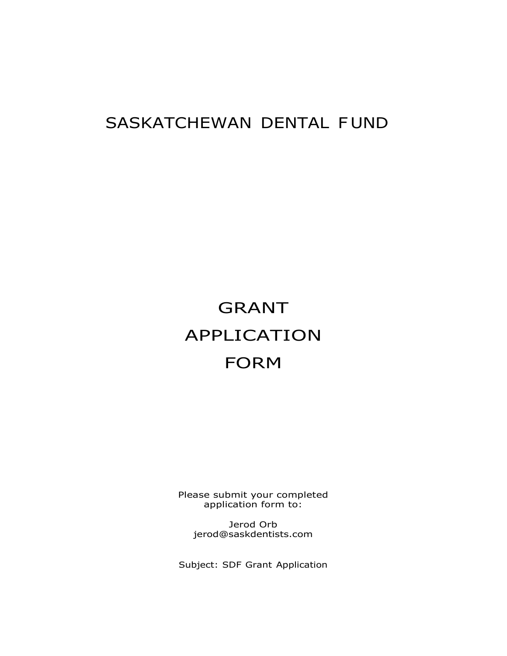## SASKATCHEWAN DENTAL F UND

## GRANT APPLICATION FORM

Please submit your completed application form to:

Jerod Orb jerod@saskdentists.com

Subject: SDF Grant Application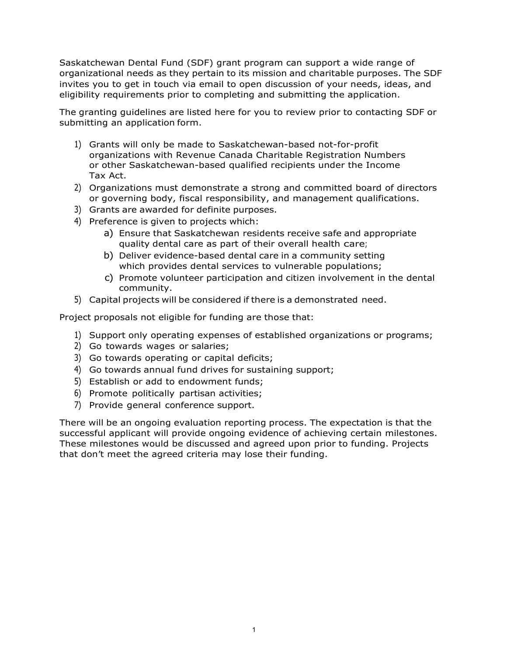Saskatchewan Dental Fund (SDF) grant program can support a wide range of organizational needs as they pertain to its mission and charitable purposes. The SDF invites you to get in touch via email to open discussion of your needs, ideas, and eligibility requirements prior to completing and submitting the application.

The granting guidelines are listed here for you to review prior to contacting SDF or submitting an application form.

- 1) Grants will only be made to Saskatchewan-based not-for-profit organizations with Revenue Canada Charitable Registration Numbers or other Saskatchewan-based qualified recipients under the Income Tax Act.
- 2) Organizations must demonstrate a strong and committed board of directors or governing body, fiscal responsibility, and management qualifications.
- 3) Grants are awarded for definite purposes.
- 4) Preference is given to projects which:
	- a) Ensure that Saskatchewan residents receive safe and appropriate quality dental care as part of their overall health care;
	- b) Deliver evidence-based dental care in a community setting which provides dental services to vulnerable populations;
	- c) Promote volunteer participation and citizen involvement in the dental community.
- 5) Capital projects will be considered if there is a demonstrated need.

Project proposals not eligible for funding are those that:

- 1) Support only operating expenses of established organizations or programs;
- 2) Go towards wages or salaries;
- 3) Go towards operating or capital deficits;
- 4) Go towards annual fund drives for sustaining support;
- 5) Establish or add to endowment funds;
- 6) Promote politically partisan activities;
- 7) Provide general conference support.

There will be an ongoing evaluation reporting process. The expectation is that the successful applicant will provide ongoing evidence of achieving certain milestones. These milestones would be discussed and agreed upon prior to funding. Projects that don't meet the agreed criteria may lose their funding.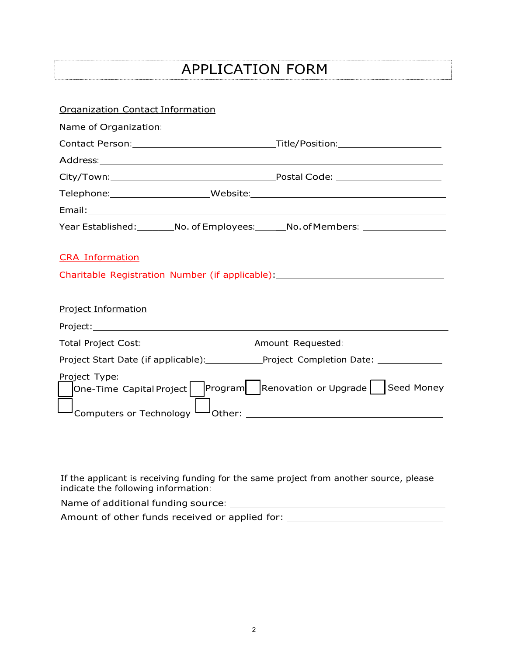## APPLICATION FORM

| <b>Organization Contact Information</b>                                                                    |                                                                                   |
|------------------------------------------------------------------------------------------------------------|-----------------------------------------------------------------------------------|
|                                                                                                            |                                                                                   |
|                                                                                                            |                                                                                   |
|                                                                                                            |                                                                                   |
|                                                                                                            |                                                                                   |
|                                                                                                            |                                                                                   |
|                                                                                                            |                                                                                   |
|                                                                                                            | Year Established: _________No. of Employees: _______No. of Members: _____________ |
| <b>CRA Information</b><br>Charitable Registration Number (if applicable): ________________________________ |                                                                                   |
| <b>Project Information</b>                                                                                 |                                                                                   |
|                                                                                                            |                                                                                   |
|                                                                                                            |                                                                                   |
| Project Start Date (if applicable): Project Completion Date: ____________                                  |                                                                                   |
| Project Type:                                                                                              | One-Time Capital Project    Program   Renovation or Upgrade   Seed Money          |

If the applicant is receiving funding for the same project from another source, please indicate the following information:

Name of additional funding source: Amount of other funds received or applied for: \_\_\_\_\_\_\_\_\_\_\_\_\_\_\_\_\_\_\_\_\_\_\_\_\_\_\_\_\_\_\_\_\_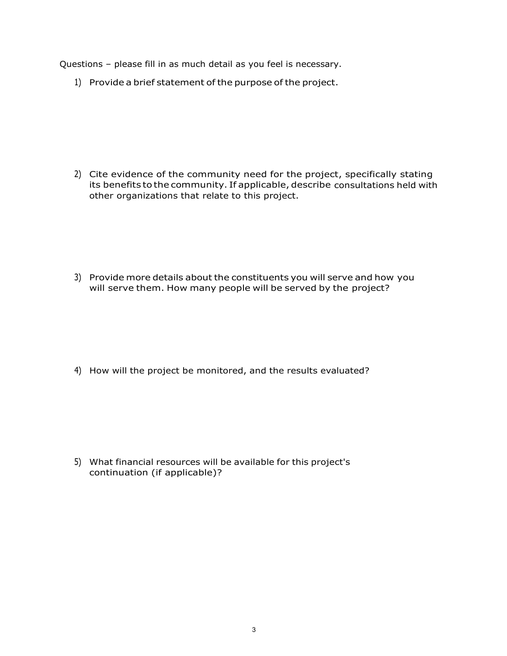Questions – please fill in as much detail as you feel is necessary.

1) Provide a brief statement of the purpose of the project.

2) Cite evidence of the community need for the project, specifically stating its benefits to the community. If applicable, describe consultations held with other organizations that relate to this project.

3) Provide more details about the constituents you will serve and how you will serve them. How many people will be served by the project?

4) How will the project be monitored, and the results evaluated?

5) What financial resources will be available for this project's continuation (if applicable)?